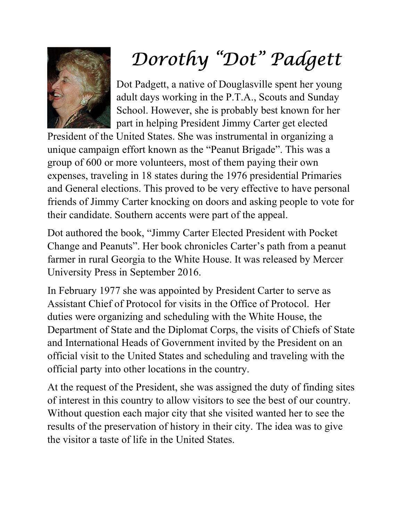

## Dorothy "Dot" Padgett

Dot Padgett, a native of Douglasville spent her young adult days working in the P.T.A., Scouts and Sunday School. However, she is probably best known for her part in helping President Jimmy Carter get elected

President of the United States. She was instrumental in organizing a unique campaign effort known as the "Peanut Brigade". This was a group of 600 or more volunteers, most of them paying their own expenses, traveling in 18 states during the 1976 presidential Primaries and General elections. This proved to be very effective to have personal friends of Jimmy Carter knocking on doors and asking people to vote for their candidate. Southern accents were part of the appeal.

Dot authored the book, "Jimmy Carter Elected President with Pocket Change and Peanuts". Her book chronicles Carter's path from a peanut farmer in rural Georgia to the White House. It was released by Mercer University Press in September 2016.

In February 1977 she was appointed by President Carter to serve as Assistant Chief of Protocol for visits in the Office of Protocol. Her duties were organizing and scheduling with the White House, the Department of State and the Diplomat Corps, the visits of Chiefs of State and International Heads of Government invited by the President on an official visit to the United States and scheduling and traveling with the official party into other locations in the country.

At the request of the President, she was assigned the duty of finding sites of interest in this country to allow visitors to see the best of our country. Without question each major city that she visited wanted her to see the results of the preservation of history in their city. The idea was to give the visitor a taste of life in the United States.